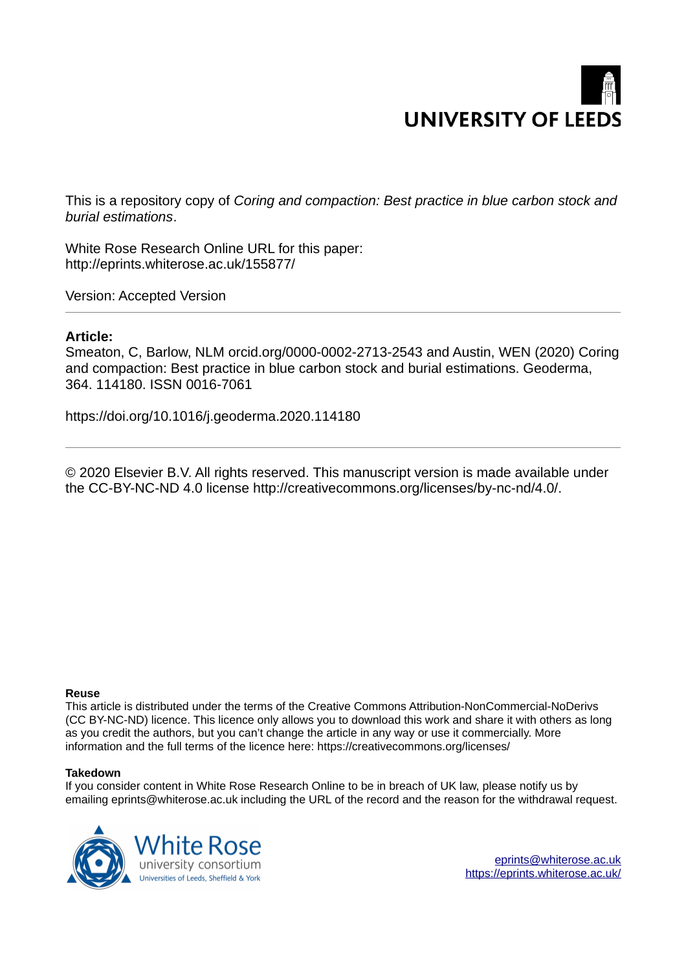# **UNIVERSITY OF LEEDS**

This is a repository copy of *Coring and compaction: Best practice in blue carbon stock and burial estimations*.

White Rose Research Online URL for this paper: http://eprints.whiterose.ac.uk/155877/

Version: Accepted Version

## **Article:**

Smeaton, C, Barlow, NLM orcid.org/0000-0002-2713-2543 and Austin, WEN (2020) Coring and compaction: Best practice in blue carbon stock and burial estimations. Geoderma, 364. 114180. ISSN 0016-7061

https://doi.org/10.1016/j.geoderma.2020.114180

© 2020 Elsevier B.V. All rights reserved. This manuscript version is made available under the CC-BY-NC-ND 4.0 license http://creativecommons.org/licenses/by-nc-nd/4.0/.

#### **Reuse**

This article is distributed under the terms of the Creative Commons Attribution-NonCommercial-NoDerivs (CC BY-NC-ND) licence. This licence only allows you to download this work and share it with others as long as you credit the authors, but you can't change the article in any way or use it commercially. More information and the full terms of the licence here: https://creativecommons.org/licenses/

#### **Takedown**

If you consider content in White Rose Research Online to be in breach of UK law, please notify us by emailing eprints@whiterose.ac.uk including the URL of the record and the reason for the withdrawal request.



eprints@whiterose.ac.uk https://eprints.whiterose.ac.uk/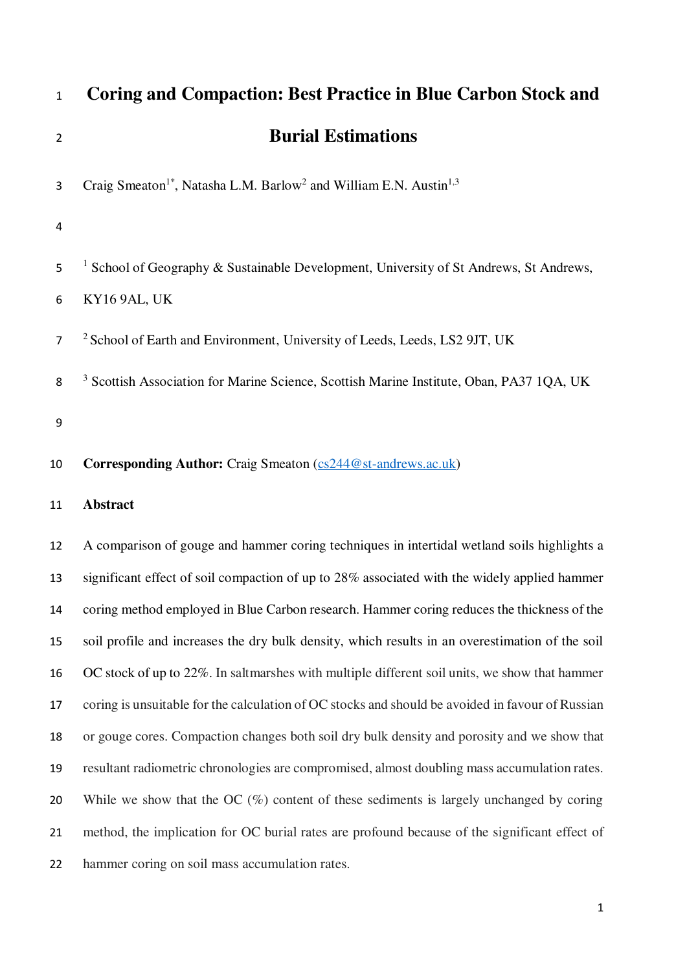| $\mathbf{1}$   | Coring and Compaction: Best Practice in Blue Carbon Stock and                                         |
|----------------|-------------------------------------------------------------------------------------------------------|
| $\overline{2}$ | <b>Burial Estimations</b>                                                                             |
| 3              | Craig Smeaton <sup>1*</sup> , Natasha L.M. Barlow <sup>2</sup> and William E.N. Austin <sup>1,3</sup> |
| 4              |                                                                                                       |
| 5              | <sup>1</sup> School of Geography & Sustainable Development, University of St Andrews, St Andrews,     |
| 6              | KY169AL, UK                                                                                           |
| 7              | <sup>2</sup> School of Earth and Environment, University of Leeds, Leeds, LS2 9JT, UK                 |
| 8              | <sup>3</sup> Scottish Association for Marine Science, Scottish Marine Institute, Oban, PA37 1QA, UK   |
| 9              |                                                                                                       |
| 10             | <b>Corresponding Author:</b> Craig Smeaton (cs244@st-andrews.ac.uk)                                   |
| 11             | <b>Abstract</b>                                                                                       |
| 12             | A comparison of gouge and hammer coring techniques in intertidal wetland soils highlights a           |
| 13             | significant effect of soil compaction of up to 28% associated with the widely applied hammer          |
| 14             | coring method employed in Blue Carbon research. Hammer coring reduces the thickness of the            |
| 15             | soil profile and increases the dry bulk density, which results in an overestimation of the soil       |
| 16             | OC stock of up to 22%. In saltmarshes with multiple different soil units, we show that hammer         |
| 17             | coring is unsuitable for the calculation of OC stocks and should be avoided in favour of Russian      |
| 18             | or gouge cores. Compaction changes both soil dry bulk density and porosity and we show that           |
| 19             | resultant radiometric chronologies are compromised, almost doubling mass accumulation rates.          |
| 20             | While we show that the OC $(\%)$ content of these sediments is largely unchanged by coring            |
| 21             | method, the implication for OC burial rates are profound because of the significant effect of         |
| 22             | hammer coring on soil mass accumulation rates.                                                        |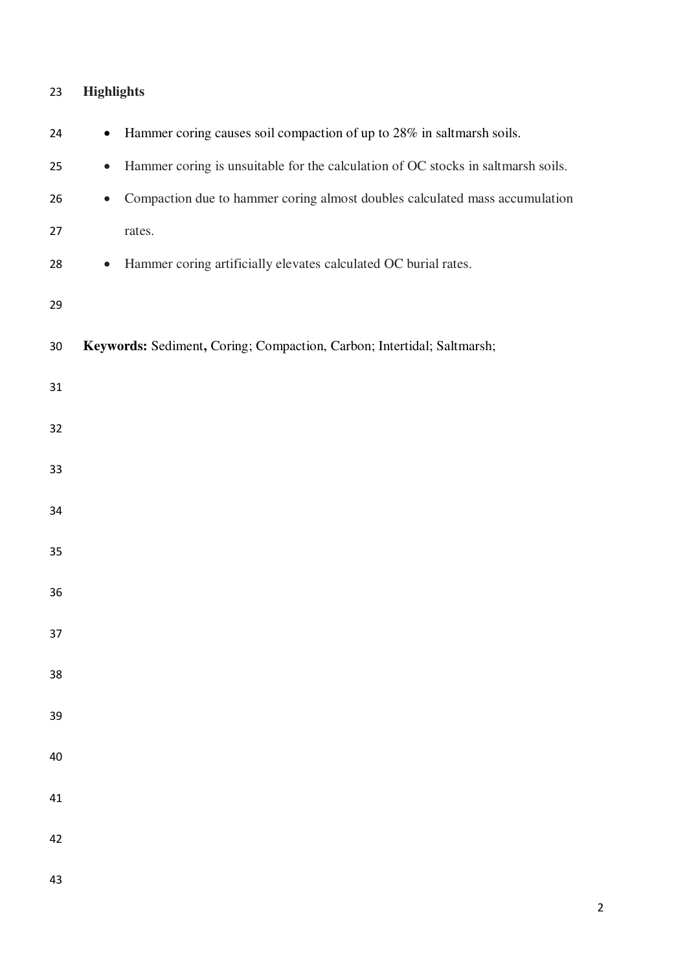# **Highlights**

| 24 | Hammer coring causes soil compaction of up to 28% in saltmarsh soils.<br>$\bullet$            |
|----|-----------------------------------------------------------------------------------------------|
| 25 | Hammer coring is unsuitable for the calculation of OC stocks in saltmarsh soils.<br>$\bullet$ |
| 26 | Compaction due to hammer coring almost doubles calculated mass accumulation<br>$\bullet$      |
| 27 | rates.                                                                                        |
| 28 | Hammer coring artificially elevates calculated OC burial rates.<br>$\bullet$                  |
| 29 |                                                                                               |
| 30 | Keywords: Sediment, Coring; Compaction, Carbon; Intertidal; Saltmarsh;                        |
| 31 |                                                                                               |
| 32 |                                                                                               |
| 33 |                                                                                               |
| 34 |                                                                                               |
| 35 |                                                                                               |
| 36 |                                                                                               |
| 37 |                                                                                               |
| 38 |                                                                                               |
| 39 |                                                                                               |
| 40 |                                                                                               |
| 41 |                                                                                               |
| 42 |                                                                                               |
| 43 |                                                                                               |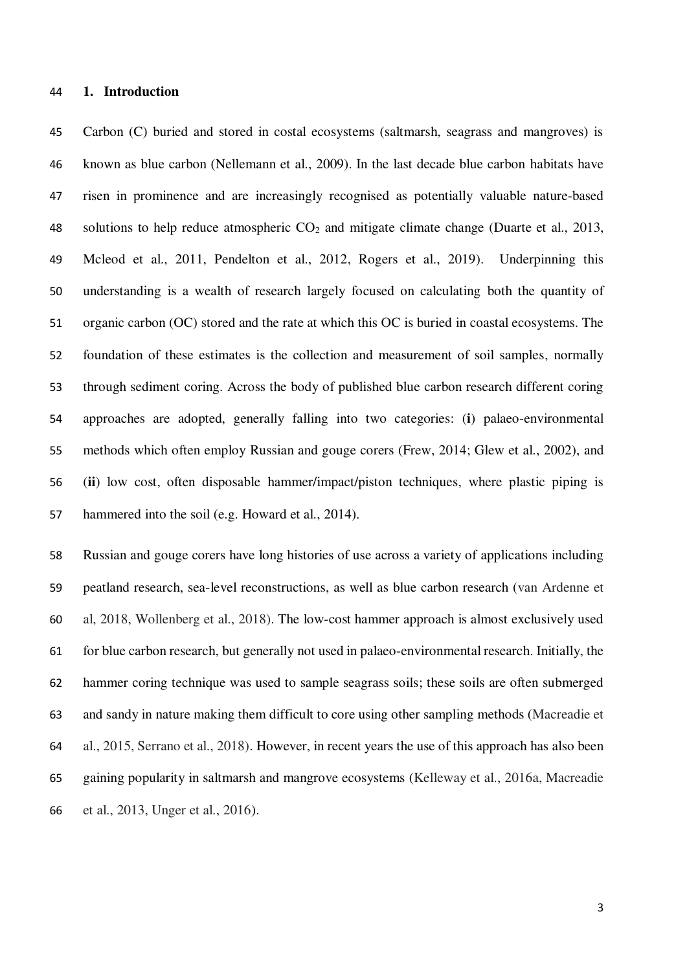#### **1. Introduction**

 Carbon (C) buried and stored in costal ecosystems (saltmarsh, seagrass and mangroves) is known as blue carbon (Nellemann et al., 2009). In the last decade blue carbon habitats have risen in prominence and are increasingly recognised as potentially valuable nature-based 48 solutions to help reduce atmospheric  $CO<sub>2</sub>$  and mitigate climate change (Duarte et al., 2013, Mcleod et al., 2011, Pendelton et al., 2012, Rogers et al., 2019). Underpinning this understanding is a wealth of research largely focused on calculating both the quantity of organic carbon (OC) stored and the rate at which this OC is buried in coastal ecosystems. The foundation of these estimates is the collection and measurement of soil samples, normally through sediment coring. Across the body of published blue carbon research different coring approaches are adopted, generally falling into two categories: (**i**) palaeo-environmental methods which often employ Russian and gouge corers (Frew, 2014; Glew et al., 2002), and (**ii**) low cost, often disposable hammer/impact/piston techniques, where plastic piping is hammered into the soil (e.g. Howard et al., 2014).

 Russian and gouge corers have long histories of use across a variety of applications including peatland research, sea-level reconstructions, as well as blue carbon research (van Ardenne et al, 2018, Wollenberg et al., 2018). The low-cost hammer approach is almost exclusively used for blue carbon research, but generally not used in palaeo-environmental research. Initially, the hammer coring technique was used to sample seagrass soils; these soils are often submerged and sandy in nature making them difficult to core using other sampling methods (Macreadie et al., 2015, Serrano et al., 2018). However, in recent years the use of this approach has also been gaining popularity in saltmarsh and mangrove ecosystems (Kelleway et al., 2016a, Macreadie et al., 2013, Unger et al., 2016).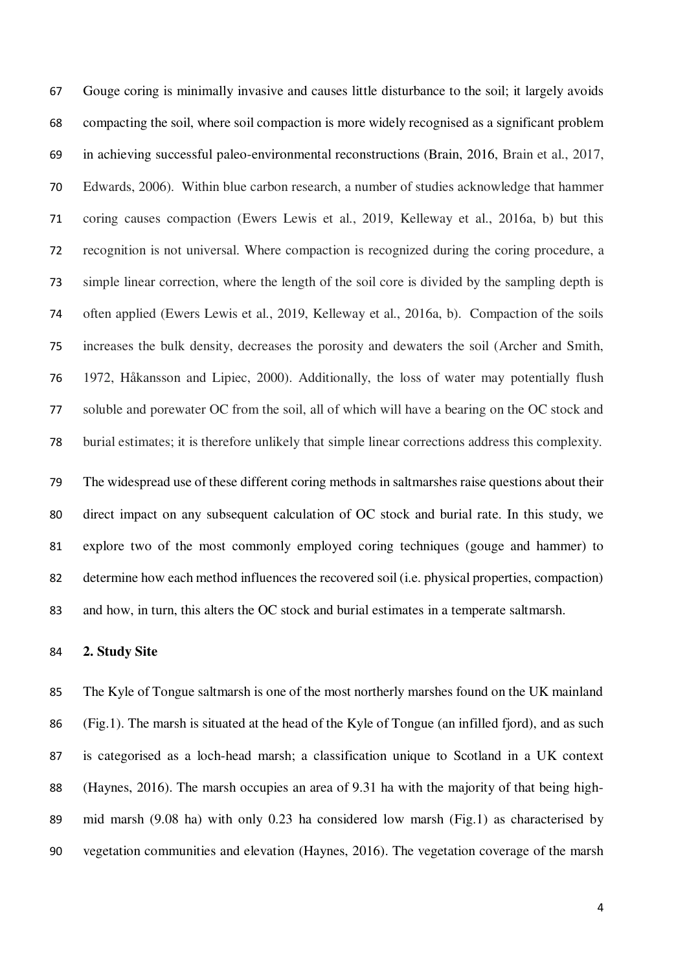Gouge coring is minimally invasive and causes little disturbance to the soil; it largely avoids compacting the soil, where soil compaction is more widely recognised as a significant problem in achieving successful paleo-environmental reconstructions (Brain, 2016, Brain et al., 2017, Edwards, 2006). Within blue carbon research, a number of studies acknowledge that hammer coring causes compaction (Ewers Lewis et al., 2019, Kelleway et al., 2016a, b) but this recognition is not universal. Where compaction is recognized during the coring procedure, a simple linear correction, where the length of the soil core is divided by the sampling depth is often applied (Ewers Lewis et al., 2019, Kelleway et al., 2016a, b). Compaction of the soils increases the bulk density, decreases the porosity and dewaters the soil (Archer and Smith, 1972, Håkansson and Lipiec, 2000). Additionally, the loss of water may potentially flush soluble and porewater OC from the soil, all of which will have a bearing on the OC stock and burial estimates; it is therefore unlikely that simple linear corrections address this complexity.

 The widespread use of these different coring methods in saltmarshes raise questions about their direct impact on any subsequent calculation of OC stock and burial rate. In this study, we explore two of the most commonly employed coring techniques (gouge and hammer) to determine how each method influences the recovered soil (i.e. physical properties, compaction) and how, in turn, this alters the OC stock and burial estimates in a temperate saltmarsh.

# **2. Study Site**

 The Kyle of Tongue saltmarsh is one of the most northerly marshes found on the UK mainland (Fig.1). The marsh is situated at the head of the Kyle of Tongue (an infilled fjord), and as such is categorised as a loch-head marsh; a classification unique to Scotland in a UK context (Haynes, 2016). The marsh occupies an area of 9.31 ha with the majority of that being high- mid marsh (9.08 ha) with only 0.23 ha considered low marsh (Fig.1) as characterised by vegetation communities and elevation (Haynes, 2016). The vegetation coverage of the marsh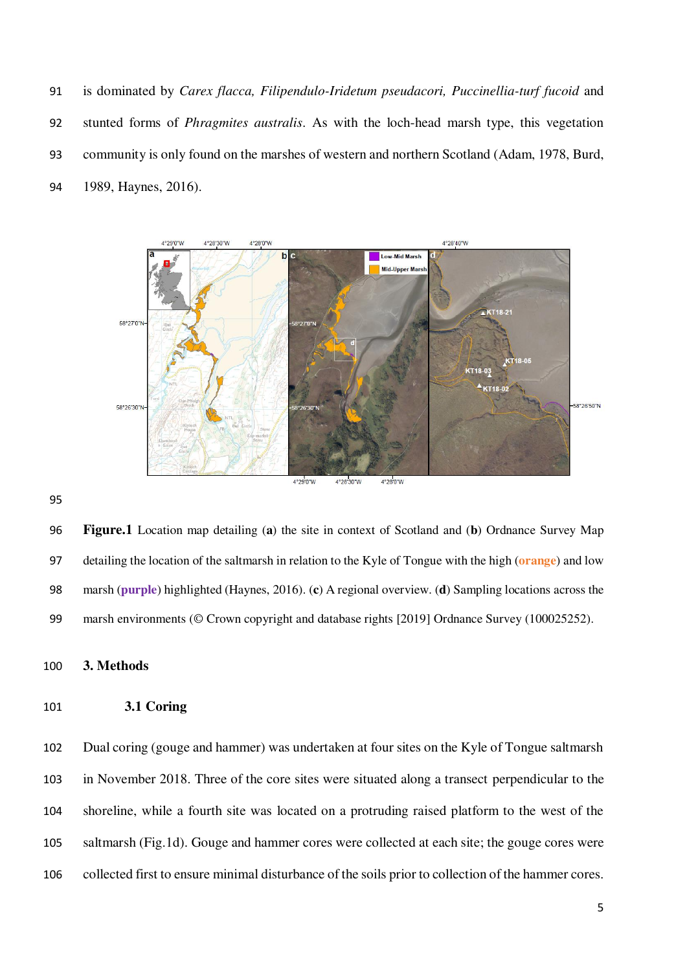is dominated by *Carex flacca, Filipendulo-Iridetum pseudacori, Puccinellia-turf fucoid* and stunted forms of *Phragmites australis*. As with the loch-head marsh type, this vegetation community is only found on the marshes of western and northern Scotland (Adam, 1978, Burd, 1989, Haynes, 2016).



#### 

 **Figure.1** Location map detailing (**a**) the site in context of Scotland and (**b**) Ordnance Survey Map detailing the location of the saltmarsh in relation to the Kyle of Tongue with the high (**orange**) and low marsh (**purple**) highlighted (Haynes, 2016). (**c**) A regional overview. (**d**) Sampling locations across the marsh environments (© Crown copyright and database rights [2019] Ordnance Survey (100025252).

**3. Methods** 

# **3.1 Coring**

 Dual coring (gouge and hammer) was undertaken at four sites on the Kyle of Tongue saltmarsh in November 2018. Three of the core sites were situated along a transect perpendicular to the shoreline, while a fourth site was located on a protruding raised platform to the west of the saltmarsh (Fig.1d). Gouge and hammer cores were collected at each site; the gouge cores were collected first to ensure minimal disturbance of the soils prior to collection of the hammer cores.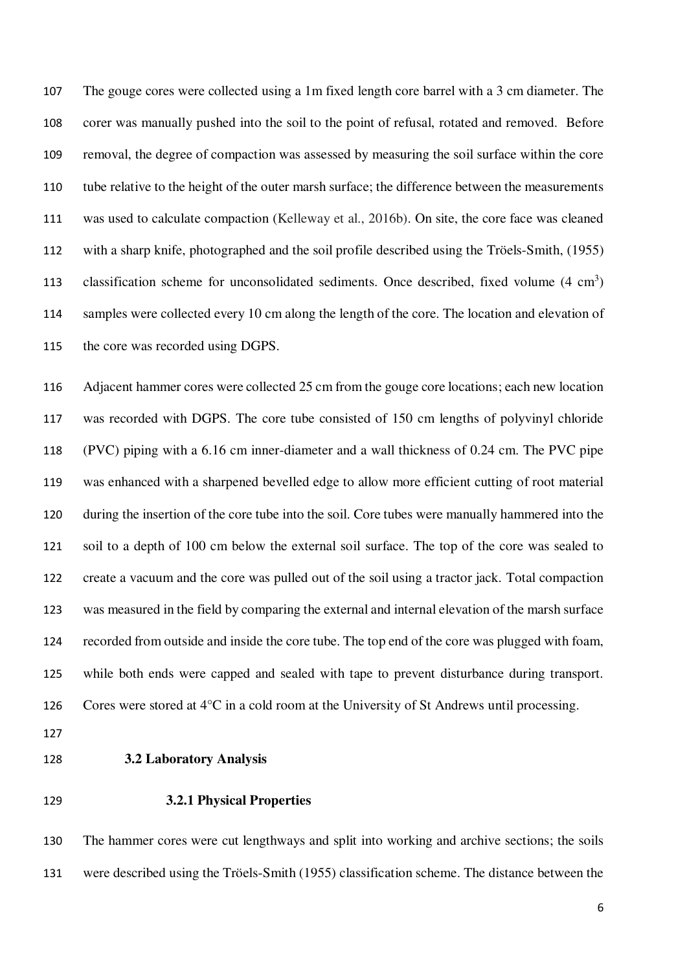The gouge cores were collected using a 1m fixed length core barrel with a 3 cm diameter. The corer was manually pushed into the soil to the point of refusal, rotated and removed. Before removal, the degree of compaction was assessed by measuring the soil surface within the core tube relative to the height of the outer marsh surface; the difference between the measurements was used to calculate compaction (Kelleway et al., 2016b). On site, the core face was cleaned with a sharp knife, photographed and the soil profile described using the Tröels-Smith, (1955) 113 classification scheme for unconsolidated sediments. Once described, fixed volume  $(4 \text{ cm}^3)$  samples were collected every 10 cm along the length of the core. The location and elevation of the core was recorded using DGPS.

 Adjacent hammer cores were collected 25 cm from the gouge core locations; each new location was recorded with DGPS. The core tube consisted of 150 cm lengths of polyvinyl chloride (PVC) piping with a 6.16 cm inner-diameter and a wall thickness of 0.24 cm. The PVC pipe was enhanced with a sharpened bevelled edge to allow more efficient cutting of root material during the insertion of the core tube into the soil. Core tubes were manually hammered into the soil to a depth of 100 cm below the external soil surface. The top of the core was sealed to create a vacuum and the core was pulled out of the soil using a tractor jack. Total compaction was measured in the field by comparing the external and internal elevation of the marsh surface recorded from outside and inside the core tube. The top end of the core was plugged with foam, while both ends were capped and sealed with tape to prevent disturbance during transport. Cores were stored at 4°C in a cold room at the University of St Andrews until processing.

- 
- **3.2 Laboratory Analysis**
- 

# **3.2.1 Physical Properties**

 The hammer cores were cut lengthways and split into working and archive sections; the soils were described using the Tröels-Smith (1955) classification scheme. The distance between the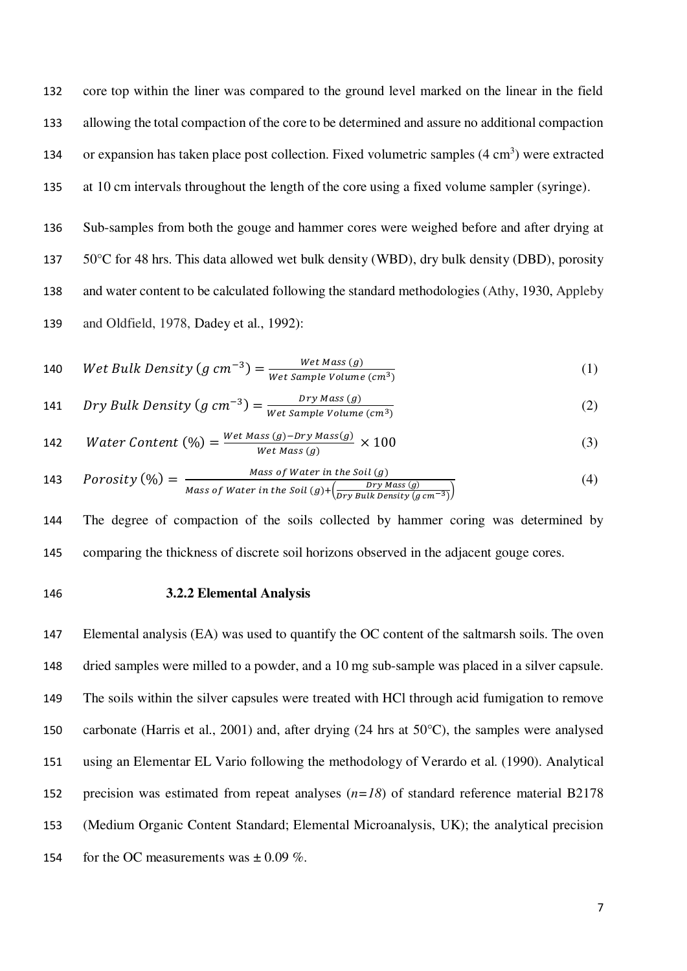core top within the liner was compared to the ground level marked on the linear in the field allowing the total compaction of the core to be determined and assure no additional compaction 134 or expansion has taken place post collection. Fixed volumetric samples  $(4 \text{ cm}^3)$  were extracted at 10 cm intervals throughout the length of the core using a fixed volume sampler (syringe).

 Sub-samples from both the gouge and hammer cores were weighed before and after drying at 50°C for 48 hrs. This data allowed wet bulk density (WBD), dry bulk density (DBD), porosity and water content to be calculated following the standard methodologies (Athy, 1930, Appleby and Oldfield, 1978, Dadey et al., 1992):

140 *Wet Bulk Density* 
$$
(g \, cm^{-3}) = \frac{Wet \, Mass(g)}{Wet \, Sample Volume \, (cm^3)}
$$
 (1)

141 *Dry Bulk Density* 
$$
(g \, cm^{-3}) = \frac{Dry \, Mass(g)}{Wet Sample Volume \, (cm^3)}
$$
 (2)

142 Water Content 
$$
(\%) = \frac{Wet Mass(g) - Dry Mass(g)}{Wet Mass(g)} \times 100
$$
 (3)

143 *Porosity* (%) = 
$$
\frac{Mass\ of\ Water\ in\ the\ soil\ (g)}{Mass\ of\ Water\ in\ the\ soil\ (g) + (\frac{Dry\ Mass\ (g)}{Dry\ Bulk\ Density\ (g\ cm^{-3})})}
$$
(4)

144 The degree of compaction of the soils collected by hammer coring was determined by 145 comparing the thickness of discrete soil horizons observed in the adjacent gouge cores.

# 146 **3.2.2 Elemental Analysis**

 Elemental analysis (EA) was used to quantify the OC content of the saltmarsh soils. The oven dried samples were milled to a powder, and a 10 mg sub-sample was placed in a silver capsule. The soils within the silver capsules were treated with HCl through acid fumigation to remove carbonate (Harris et al., 2001) and, after drying (24 hrs at 50°C), the samples were analysed using an Elementar EL Vario following the methodology of Verardo et al. (1990). Analytical precision was estimated from repeat analyses (*n=18*) of standard reference material B2178 (Medium Organic Content Standard; Elemental Microanalysis, UK); the analytical precision 154 for the OC measurements was  $\pm 0.09\%$ .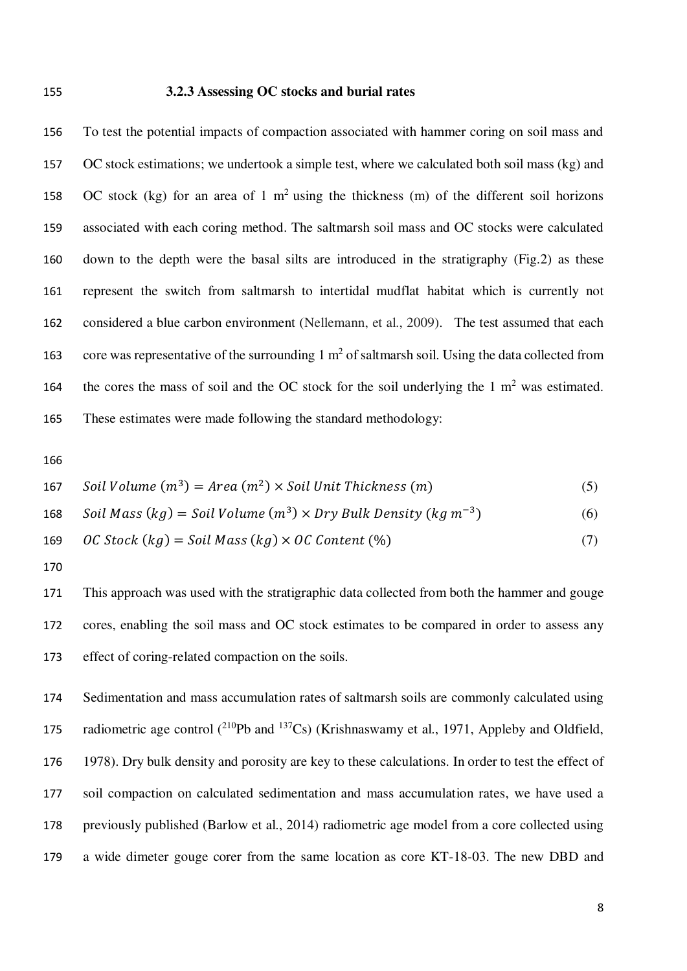## **3.2.3 Assessing OC stocks and burial rates**

 To test the potential impacts of compaction associated with hammer coring on soil mass and OC stock estimations; we undertook a simple test, where we calculated both soil mass (kg) and 158 OC stock (kg) for an area of 1  $m<sup>2</sup>$  using the thickness (m) of the different soil horizons associated with each coring method. The saltmarsh soil mass and OC stocks were calculated down to the depth were the basal silts are introduced in the stratigraphy (Fig.2) as these represent the switch from saltmarsh to intertidal mudflat habitat which is currently not considered a blue carbon environment (Nellemann, et al., 2009). The test assumed that each 163 core was representative of the surrounding  $1 \text{ m}^2$  of saltmarsh soil. Using the data collected from 164 the cores the mass of soil and the OC stock for the soil underlying the  $1 \text{ m}^2$  was estimated. These estimates were made following the standard methodology:

167 *Soil Volume* 
$$
(m^3)
$$
 = *Area*  $(m^2)$  × *Soil Unit Thickness*  $(m)$  (5)

168 *Soil Mass* 
$$
(kg) = Soil Volume(m^3) \times Dry Bulk Density (kg m^{-3})
$$
 (6)

169 *OC Stock* 
$$
(kg) = Solid Mass
$$
  $(kg) \times OC$  *Content*  $(\%)$  (7)

 This approach was used with the stratigraphic data collected from both the hammer and gouge cores, enabling the soil mass and OC stock estimates to be compared in order to assess any effect of coring-related compaction on the soils.

 Sedimentation and mass accumulation rates of saltmarsh soils are commonly calculated using 175 radiometric age control  $(^{210}Pb$  and  $^{137}Cs$ ) (Krishnaswamy et al., 1971, Appleby and Oldfield, 1978). Dry bulk density and porosity are key to these calculations. In order to test the effect of soil compaction on calculated sedimentation and mass accumulation rates, we have used a previously published (Barlow et al., 2014) radiometric age model from a core collected using a wide dimeter gouge corer from the same location as core KT-18-03. The new DBD and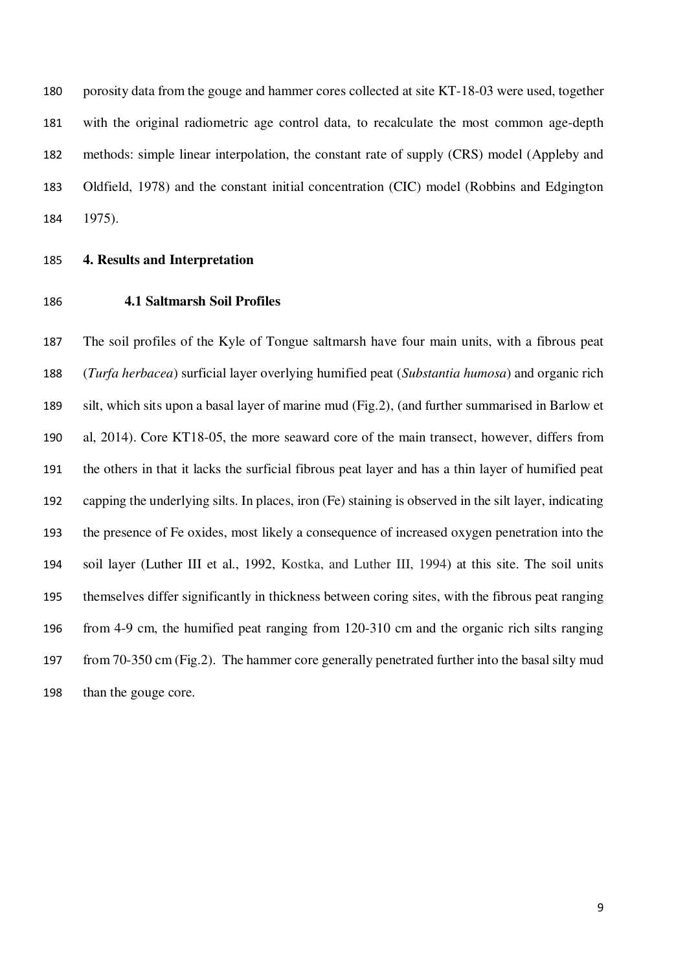porosity data from the gouge and hammer cores collected at site KT-18-03 were used, together with the original radiometric age control data, to recalculate the most common age-depth methods: simple linear interpolation, the constant rate of supply (CRS) model (Appleby and Oldfield, 1978) and the constant initial concentration (CIC) model (Robbins and Edgington 1975).

**4. Results and Interpretation** 

#### **4.1 Saltmarsh Soil Profiles**

 The soil profiles of the Kyle of Tongue saltmarsh have four main units, with a fibrous peat (*Turfa herbacea*) surficial layer overlying humified peat (*Substantia humosa*) and organic rich silt, which sits upon a basal layer of marine mud (Fig.2), (and further summarised in Barlow et al, 2014). Core KT18-05, the more seaward core of the main transect, however, differs from the others in that it lacks the surficial fibrous peat layer and has a thin layer of humified peat capping the underlying silts. In places, iron (Fe) staining is observed in the silt layer, indicating the presence of Fe oxides, most likely a consequence of increased oxygen penetration into the soil layer (Luther III et al., 1992, Kostka, and Luther III, 1994) at this site. The soil units themselves differ significantly in thickness between coring sites, with the fibrous peat ranging from 4-9 cm, the humified peat ranging from 120-310 cm and the organic rich silts ranging from 70-350 cm (Fig.2). The hammer core generally penetrated further into the basal silty mud than the gouge core.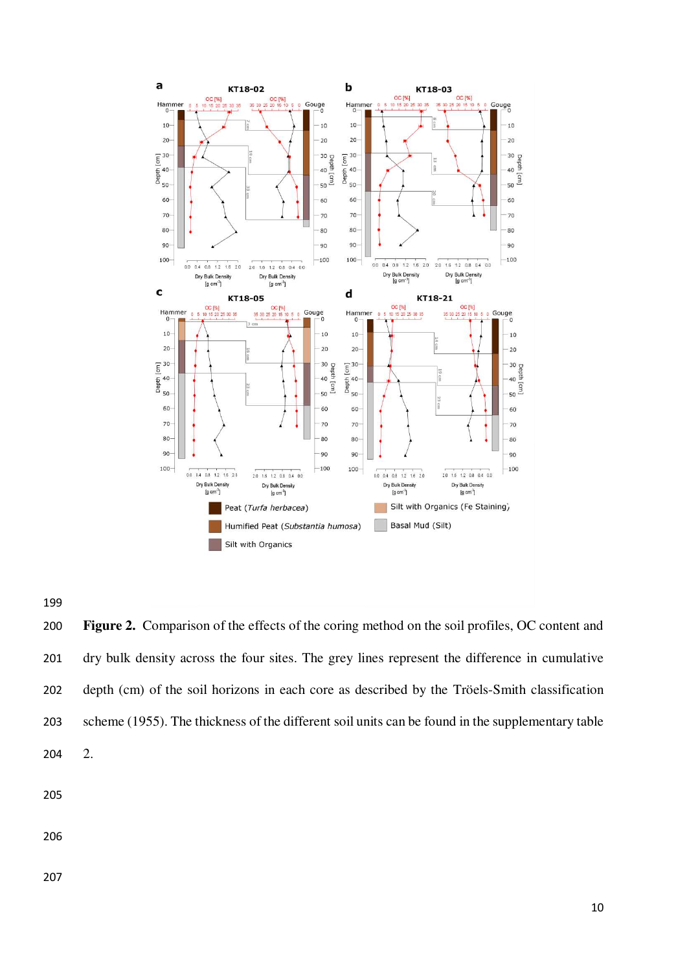



 **Figure 2.** Comparison of the effects of the coring method on the soil profiles, OC content and dry bulk density across the four sites. The grey lines represent the difference in cumulative depth (cm) of the soil horizons in each core as described by the Tröels-Smith classification scheme (1955). The thickness of the different soil units can be found in the supplementary table 2.

- 
- 
-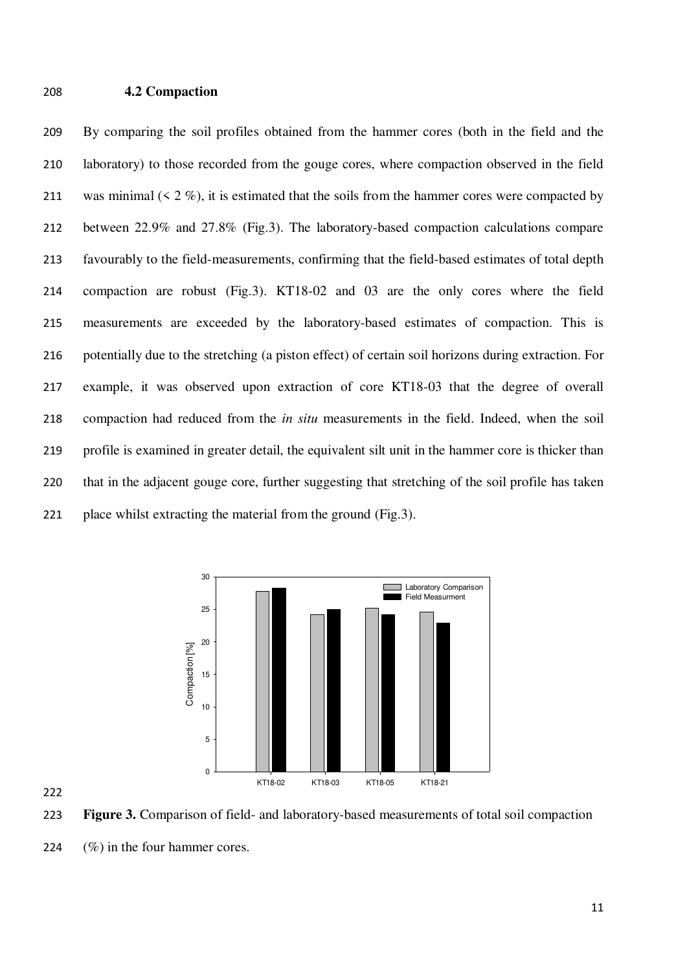#### **4.2 Compaction**

 By comparing the soil profiles obtained from the hammer cores (both in the field and the laboratory) to those recorded from the gouge cores, where compaction observed in the field 211 was minimal  $(2\%)$ , it is estimated that the soils from the hammer cores were compacted by between 22.9% and 27.8% (Fig.3). The laboratory-based compaction calculations compare favourably to the field-measurements, confirming that the field-based estimates of total depth compaction are robust (Fig.3). KT18-02 and 03 are the only cores where the field measurements are exceeded by the laboratory-based estimates of compaction. This is potentially due to the stretching (a piston effect) of certain soil horizons during extraction. For example, it was observed upon extraction of core KT18-03 that the degree of overall compaction had reduced from the *in situ* measurements in the field. Indeed, when the soil profile is examined in greater detail, the equivalent silt unit in the hammer core is thicker than that in the adjacent gouge core, further suggesting that stretching of the soil profile has taken place whilst extracting the material from the ground (Fig.3).



 **Figure 3.** Comparison of field- and laboratory-based measurements of total soil compaction (%) in the four hammer cores.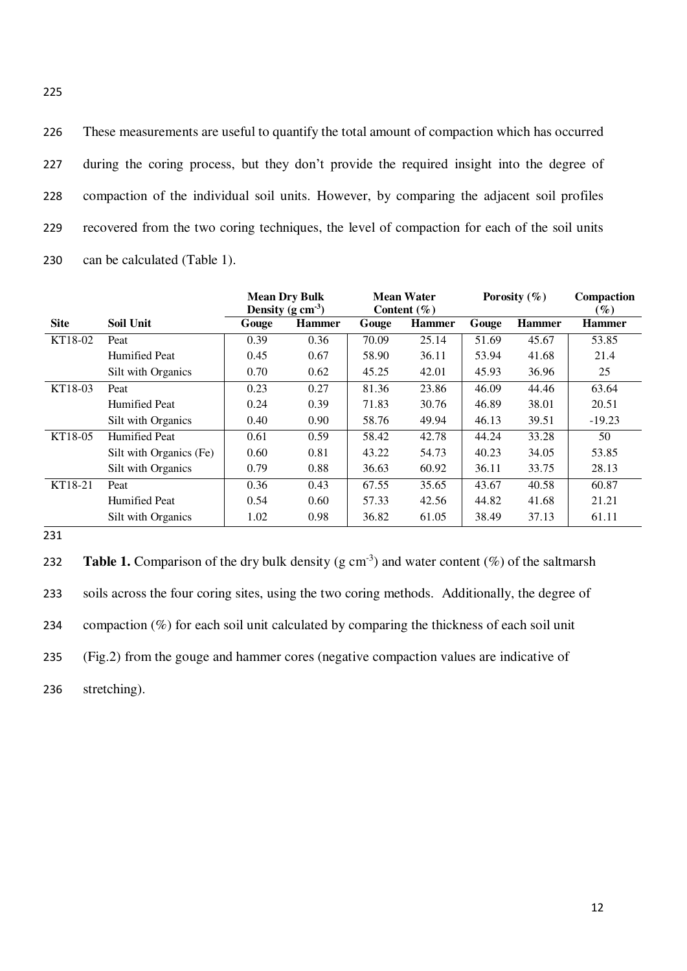These measurements are useful to quantify the total amount of compaction which has occurred during the coring process, but they don't provide the required insight into the degree of compaction of the individual soil units. However, by comparing the adjacent soil profiles recovered from the two coring techniques, the level of compaction for each of the soil units 230 can be calculated (Table 1).

|             |                         | <b>Mean Dry Bulk</b><br>Density $(g \text{ cm}^{-3})$ |               | <b>Mean Water</b><br>Content $(\% )$ |               | Porosity $(\% )$ |               | Compaction<br>$(\%)$ |
|-------------|-------------------------|-------------------------------------------------------|---------------|--------------------------------------|---------------|------------------|---------------|----------------------|
| <b>Site</b> | <b>Soil Unit</b>        | Gouge                                                 | <b>Hammer</b> | Gouge                                | <b>Hammer</b> | Gouge            | <b>Hammer</b> | <b>Hammer</b>        |
| KT18-02     | Peat                    | 0.39                                                  | 0.36          | 70.09                                | 25.14         | 51.69            | 45.67         | 53.85                |
|             | <b>Humified Peat</b>    | 0.45                                                  | 0.67          | 58.90                                | 36.11         | 53.94            | 41.68         | 21.4                 |
|             | Silt with Organics      | 0.70                                                  | 0.62          | 45.25                                | 42.01         | 45.93            | 36.96         | 25                   |
| KT18-03     | Peat                    | 0.23                                                  | 0.27          | 81.36                                | 23.86         | 46.09            | 44.46         | 63.64                |
|             | <b>Humified Peat</b>    | 0.24                                                  | 0.39          | 71.83                                | 30.76         | 46.89            | 38.01         | 20.51                |
|             | Silt with Organics      | 0.40                                                  | 0.90          | 58.76                                | 49.94         | 46.13            | 39.51         | $-19.23$             |
| KT18-05     | <b>Humified Peat</b>    | 0.61                                                  | 0.59          | 58.42                                | 42.78         | 44.24            | 33.28         | 50                   |
|             | Silt with Organics (Fe) | 0.60                                                  | 0.81          | 43.22                                | 54.73         | 40.23            | 34.05         | 53.85                |
|             | Silt with Organics      | 0.79                                                  | 0.88          | 36.63                                | 60.92         | 36.11            | 33.75         | 28.13                |
| KT18-21     | Peat                    | 0.36                                                  | 0.43          | 67.55                                | 35.65         | 43.67            | 40.58         | 60.87                |
|             | <b>Humified Peat</b>    | 0.54                                                  | 0.60          | 57.33                                | 42.56         | 44.82            | 41.68         | 21.21                |
|             | Silt with Organics      | 1.02                                                  | 0.98          | 36.82                                | 61.05         | 38.49            | 37.13         | 61.11                |

| 232 | <b>Table 1.</b> Comparison of the dry bulk density (g cm <sup>-3</sup> ) and water content (%) of the saltmarsh |
|-----|-----------------------------------------------------------------------------------------------------------------|
| 233 | soils across the four coring sites, using the two coring methods. Additionally, the degree of                   |
| 234 | compaction $(\%)$ for each soil unit calculated by comparing the thickness of each soil unit                    |
| 235 | (Fig.2) from the gouge and hammer cores (negative compaction values are indicative of                           |
| 236 | stretching).                                                                                                    |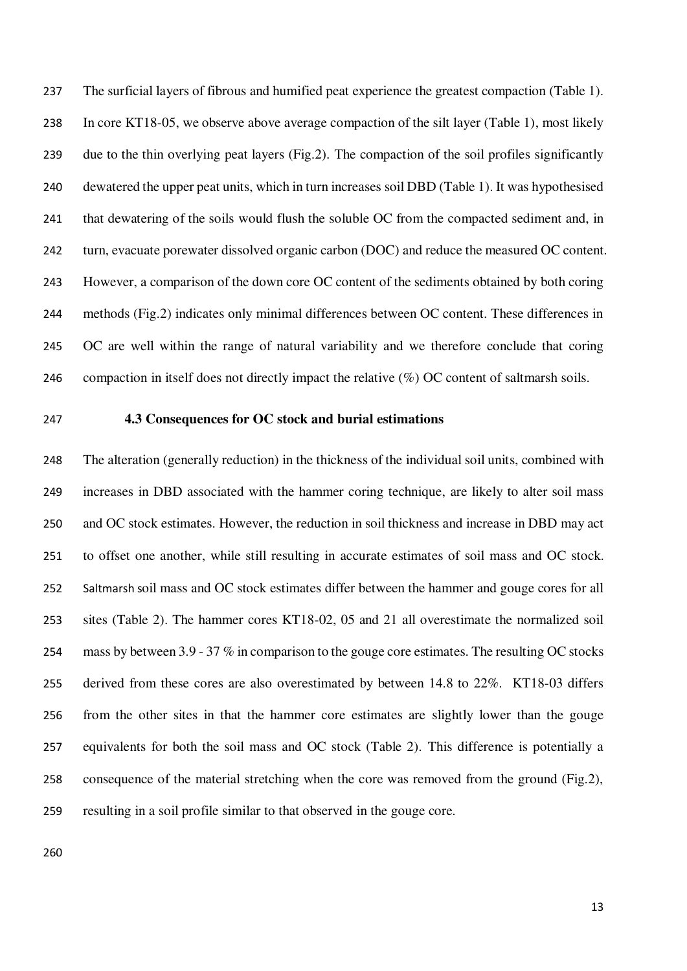The surficial layers of fibrous and humified peat experience the greatest compaction (Table 1). In core KT18-05, we observe above average compaction of the silt layer (Table 1), most likely due to the thin overlying peat layers (Fig.2). The compaction of the soil profiles significantly dewatered the upper peat units, which in turn increases soil DBD (Table 1). It was hypothesised 241 that dewatering of the soils would flush the soluble OC from the compacted sediment and, in 242 turn, evacuate porewater dissolved organic carbon (DOC) and reduce the measured OC content. However, a comparison of the down core OC content of the sediments obtained by both coring methods (Fig.2) indicates only minimal differences between OC content. These differences in OC are well within the range of natural variability and we therefore conclude that coring compaction in itself does not directly impact the relative (%) OC content of saltmarsh soils.

#### **4.3 Consequences for OC stock and burial estimations**

 The alteration (generally reduction) in the thickness of the individual soil units, combined with increases in DBD associated with the hammer coring technique, are likely to alter soil mass and OC stock estimates. However, the reduction in soil thickness and increase in DBD may act to offset one another, while still resulting in accurate estimates of soil mass and OC stock. Saltmarsh soil mass and OC stock estimates differ between the hammer and gouge cores for all sites (Table 2). The hammer cores KT18-02, 05 and 21 all overestimate the normalized soil 254 mass by between 3.9 - 37 % in comparison to the gouge core estimates. The resulting OC stocks derived from these cores are also overestimated by between 14.8 to 22%. KT18-03 differs from the other sites in that the hammer core estimates are slightly lower than the gouge equivalents for both the soil mass and OC stock (Table 2). This difference is potentially a consequence of the material stretching when the core was removed from the ground (Fig.2), resulting in a soil profile similar to that observed in the gouge core.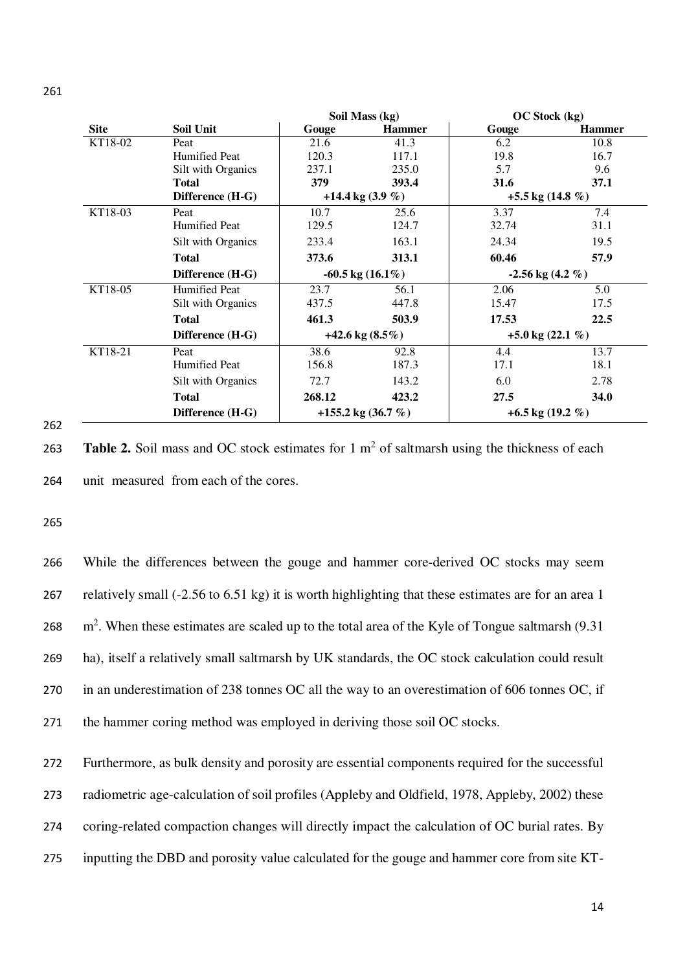|             |                      |                       | Soil Mass (kg)     | OC Stock (kg)        |               |  |
|-------------|----------------------|-----------------------|--------------------|----------------------|---------------|--|
| <b>Site</b> | Soil Unit            | Gouge                 | <b>Hammer</b>      | Gouge                | <b>Hammer</b> |  |
| KT18-02     | Peat                 | 21.6                  | 41.3               | 6.2                  | 10.8          |  |
|             | Humified Peat        | 120.3                 | 117.1              | 19.8                 | 16.7          |  |
|             | Silt with Organics   | 237.1                 | 235.0              | 5.7                  | 9.6           |  |
|             | <b>Total</b>         | 379                   | 393.4              | 31.6                 | 37.1          |  |
|             | Difference (H-G)     |                       | $+14.4$ kg (3.9 %) | +5.5 kg $(14.8\%)$   |               |  |
| KT18-03     | Peat                 | 10.7                  | 25.6               | 3.37                 | 7.4           |  |
|             | <b>Humified Peat</b> | 129.5                 | 124.7              | 32.74                | 31.1          |  |
|             | Silt with Organics   | 233.4                 | 163.1              | 24.34                | 19.5          |  |
|             | <b>Total</b>         | 373.6                 | 313.1              | 60.46                | 57.9          |  |
|             | Difference (H-G)     | $-60.5$ kg $(16.1\%)$ |                    | $-2.56$ kg $(4.2\%)$ |               |  |
| KT18-05     | <b>Humified Peat</b> | 23.7                  | 56.1               | 2.06                 | 5.0           |  |
|             | Silt with Organics   | 437.5                 | 447.8              | 15.47                | 17.5          |  |
|             | <b>Total</b>         | 461.3                 | 503.9              | 17.53                | 22.5          |  |
|             | Difference (H-G)     | $+42.6$ kg $(8.5\%)$  |                    | $+5.0$ kg (22.1 %)   |               |  |
| KT18-21     | Peat                 | 38.6                  | 92.8               | 4.4                  | 13.7          |  |
|             | Humified Peat        | 156.8                 | 187.3              | 17.1                 | 18.1          |  |
|             | Silt with Organics   | 72.7                  | 143.2              | 6.0                  | 2.78          |  |
|             | <b>Total</b>         | 268.12                | 423.2              | 27.5                 | 34.0          |  |
|             | Difference (H-G)     | +155.2 kg $(36.7\%)$  |                    | $+6.5$ kg (19.2 %)   |               |  |

262

**Table 2.** Soil mass and OC stock estimates for  $1 \text{ m}^2$  of saltmarsh using the thickness of each 264 unit measured from each of the cores.

265

 While the differences between the gouge and hammer core-derived OC stocks may seem relatively small (-2.56 to 6.51 kg) it is worth highlighting that these estimates are for an area 1 268 m<sup>2</sup>. When these estimates are scaled up to the total area of the Kyle of Tongue saltmarsh (9.31) ha), itself a relatively small saltmarsh by UK standards, the OC stock calculation could result in an underestimation of 238 tonnes OC all the way to an overestimation of 606 tonnes OC, if the hammer coring method was employed in deriving those soil OC stocks.

272 Furthermore, as bulk density and porosity are essential components required for the successful 273 radiometric age-calculation of soil profiles (Appleby and Oldfield, 1978, Appleby, 2002) these

- 274 coring-related compaction changes will directly impact the calculation of OC burial rates. By
- 275 inputting the DBD and porosity value calculated for the gouge and hammer core from site KT-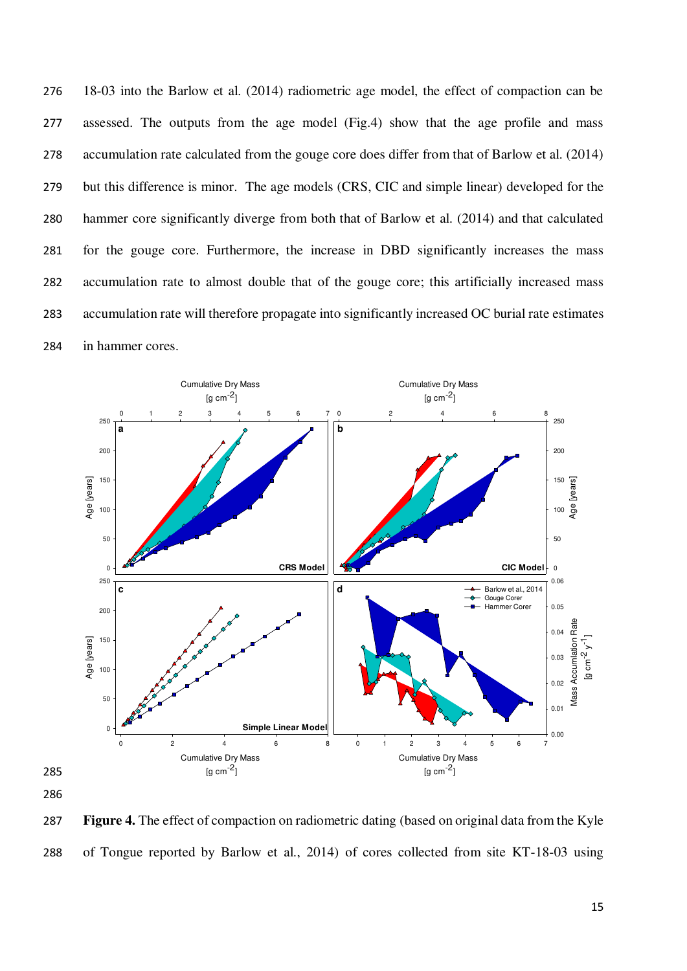18-03 into the Barlow et al. (2014) radiometric age model, the effect of compaction can be assessed. The outputs from the age model (Fig.4) show that the age profile and mass accumulation rate calculated from the gouge core does differ from that of Barlow et al. (2014) but this difference is minor. The age models (CRS, CIC and simple linear) developed for the hammer core significantly diverge from both that of Barlow et al. (2014) and that calculated for the gouge core. Furthermore, the increase in DBD significantly increases the mass accumulation rate to almost double that of the gouge core; this artificially increased mass accumulation rate will therefore propagate into significantly increased OC burial rate estimates in hammer cores.





287 **Figure 4.** The effect of compaction on radiometric dating (based on original data from the Kyle 288 of Tongue reported by Barlow et al., 2014) of cores collected from site KT-18-03 using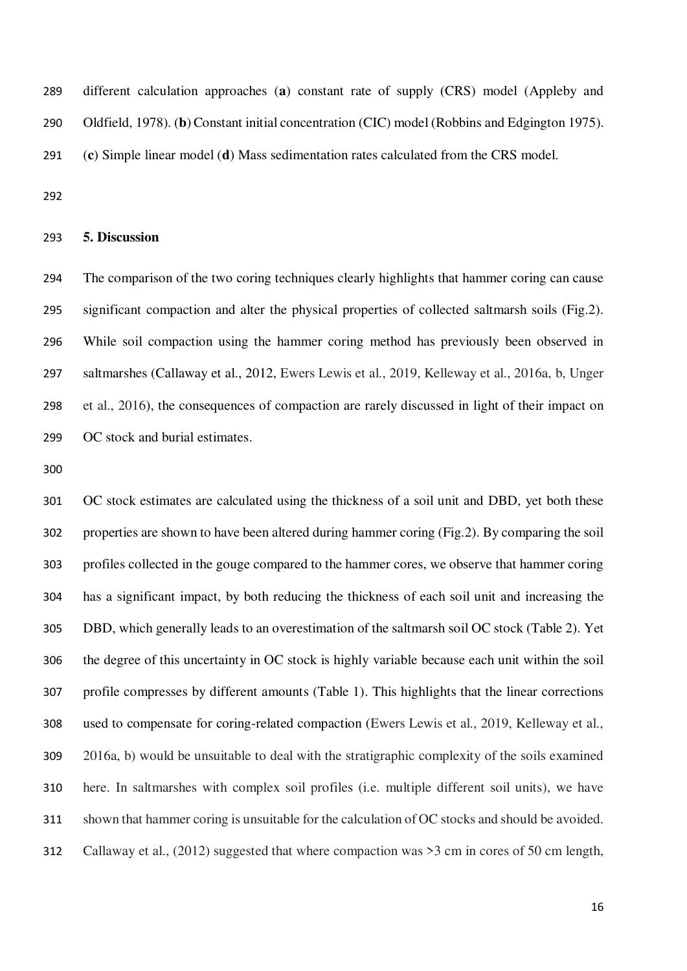different calculation approaches (**a**) constant rate of supply (CRS) model (Appleby and Oldfield, 1978). (**b**) Constant initial concentration (CIC) model (Robbins and Edgington 1975). (**c**) Simple linear model (**d**) Mass sedimentation rates calculated from the CRS model.

# **5. Discussion**

 The comparison of the two coring techniques clearly highlights that hammer coring can cause significant compaction and alter the physical properties of collected saltmarsh soils (Fig.2). While soil compaction using the hammer coring method has previously been observed in saltmarshes (Callaway et al., 2012, Ewers Lewis et al., 2019, Kelleway et al., 2016a, b, Unger et al., 2016), the consequences of compaction are rarely discussed in light of their impact on OC stock and burial estimates.

 OC stock estimates are calculated using the thickness of a soil unit and DBD, yet both these properties are shown to have been altered during hammer coring (Fig.2). By comparing the soil profiles collected in the gouge compared to the hammer cores, we observe that hammer coring has a significant impact, by both reducing the thickness of each soil unit and increasing the DBD, which generally leads to an overestimation of the saltmarsh soil OC stock (Table 2). Yet the degree of this uncertainty in OC stock is highly variable because each unit within the soil profile compresses by different amounts (Table 1). This highlights that the linear corrections used to compensate for coring-related compaction (Ewers Lewis et al., 2019, Kelleway et al., 2016a, b) would be unsuitable to deal with the stratigraphic complexity of the soils examined here. In saltmarshes with complex soil profiles (i.e. multiple different soil units), we have shown that hammer coring is unsuitable for the calculation of OC stocks and should be avoided. Callaway et al., (2012) suggested that where compaction was >3 cm in cores of 50 cm length,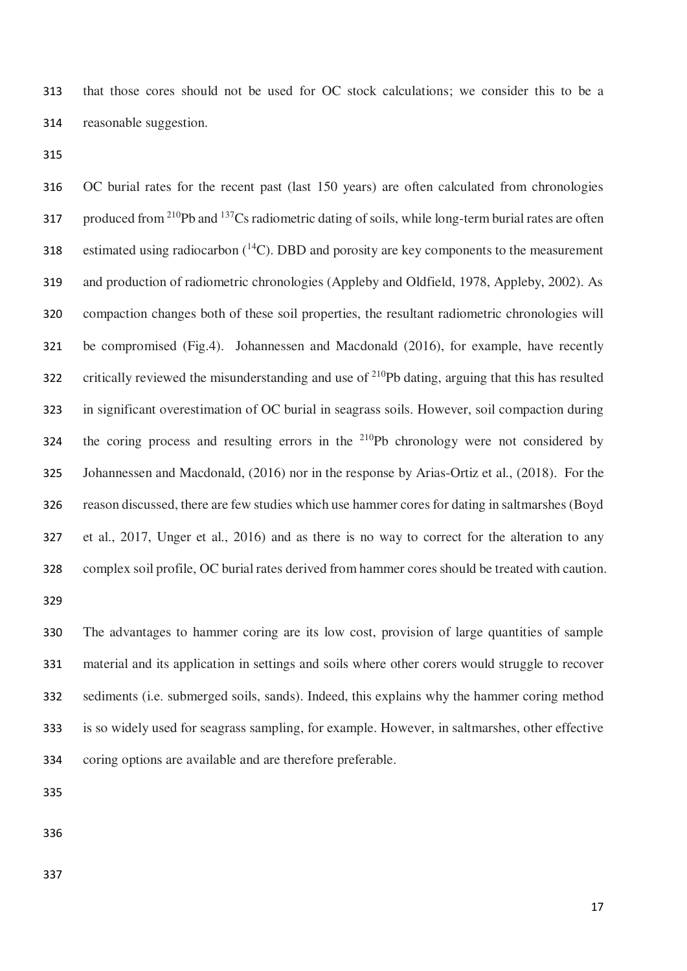that those cores should not be used for OC stock calculations; we consider this to be a reasonable suggestion.

 OC burial rates for the recent past (last 150 years) are often calculated from chronologies 317 produced from  $^{210}Pb$  and  $^{137}Cs$  radiometric dating of soils, while long-term burial rates are often 318 estimated using radiocarbon  $(^{14}C)$ . DBD and porosity are key components to the measurement and production of radiometric chronologies (Appleby and Oldfield, 1978, Appleby, 2002). As compaction changes both of these soil properties, the resultant radiometric chronologies will be compromised (Fig.4). Johannessen and Macdonald (2016), for example, have recently 322 critically reviewed the misunderstanding and use of  $^{210}Pb$  dating, arguing that this has resulted in significant overestimation of OC burial in seagrass soils. However, soil compaction during the coring process and resulting errors in the <sup>210</sup>Pb chronology were not considered by Johannessen and Macdonald, (2016) nor in the response by Arias-Ortiz et al., (2018). For the reason discussed, there are few studies which use hammer cores for dating in saltmarshes (Boyd et al., 2017, Unger et al., 2016) and as there is no way to correct for the alteration to any complex soil profile, OC burial rates derived from hammer cores should be treated with caution.

 The advantages to hammer coring are its low cost, provision of large quantities of sample material and its application in settings and soils where other corers would struggle to recover sediments (i.e. submerged soils, sands). Indeed, this explains why the hammer coring method is so widely used for seagrass sampling, for example. However, in saltmarshes, other effective coring options are available and are therefore preferable.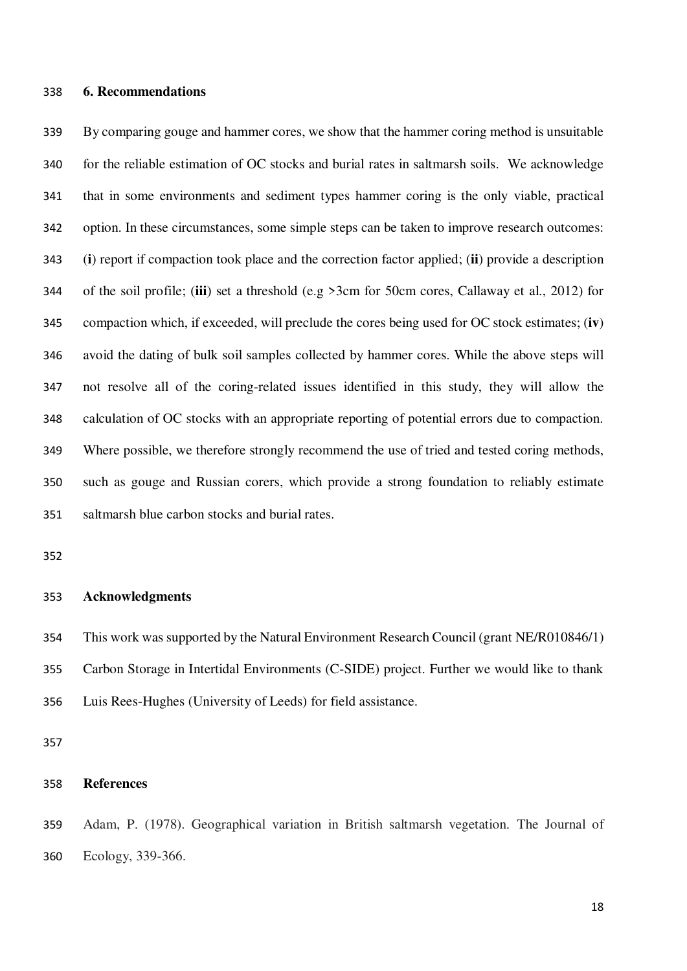#### **6. Recommendations**

 By comparing gouge and hammer cores, we show that the hammer coring method is unsuitable for the reliable estimation of OC stocks and burial rates in saltmarsh soils. We acknowledge that in some environments and sediment types hammer coring is the only viable, practical option. In these circumstances, some simple steps can be taken to improve research outcomes: (**i**) report if compaction took place and the correction factor applied; (**ii**) provide a description of the soil profile; (**iii**) set a threshold (e.g >3cm for 50cm cores, Callaway et al., 2012) for compaction which, if exceeded, will preclude the cores being used for OC stock estimates; (**iv**) avoid the dating of bulk soil samples collected by hammer cores. While the above steps will not resolve all of the coring-related issues identified in this study, they will allow the calculation of OC stocks with an appropriate reporting of potential errors due to compaction. Where possible, we therefore strongly recommend the use of tried and tested coring methods, such as gouge and Russian corers, which provide a strong foundation to reliably estimate saltmarsh blue carbon stocks and burial rates.

#### **Acknowledgments**

 This work was supported by the Natural Environment Research Council (grant NE/R010846/1) Carbon Storage in Intertidal Environments (C-SIDE) project. Further we would like to thank Luis Rees-Hughes (University of Leeds) for field assistance.

### **References**

 Adam, P. (1978). Geographical variation in British saltmarsh vegetation. The Journal of Ecology, 339-366.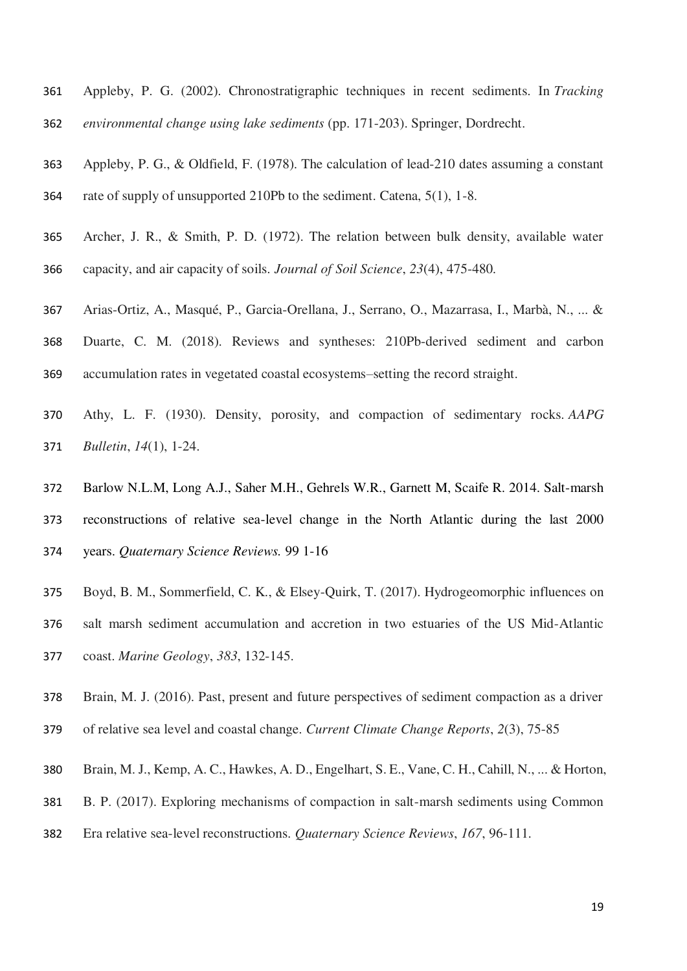- Appleby, P. G. (2002). Chronostratigraphic techniques in recent sediments. In *Tracking environmental change using lake sediments* (pp. 171-203). Springer, Dordrecht.
- Appleby, P. G., & Oldfield, F. (1978). The calculation of lead-210 dates assuming a constant rate of supply of unsupported 210Pb to the sediment. Catena, 5(1), 1-8.
- 
- Archer, J. R., & Smith, P. D. (1972). The relation between bulk density, available water capacity, and air capacity of soils. *Journal of Soil Science*, *23*(4), 475-480.
- Arias-Ortiz, A., Masqué, P., Garcia-Orellana, J., Serrano, O., Mazarrasa, I., Marbà, N., ... & Duarte, C. M. (2018). Reviews and syntheses: 210Pb-derived sediment and carbon accumulation rates in vegetated coastal ecosystems–setting the record straight.
- Athy, L. F. (1930). Density, porosity, and compaction of sedimentary rocks. *AAPG Bulletin*, *14*(1), 1-24.
- Barlow N.L.M, Long A.J., Saher M.H., Gehrels W.R., Garnett M, Scaife R. 2014. Salt-marsh
- reconstructions of relative sea-level change in the North Atlantic during the last 2000 years. *Quaternary Science Reviews.* 99 1-16
- Boyd, B. M., Sommerfield, C. K., & Elsey-Quirk, T. (2017). Hydrogeomorphic influences on salt marsh sediment accumulation and accretion in two estuaries of the US Mid-Atlantic coast. *Marine Geology*, *383*, 132-145.
- Brain, M. J. (2016). Past, present and future perspectives of sediment compaction as a driver
- of relative sea level and coastal change. *Current Climate Change Reports*, *2*(3), 75-85
- Brain, M. J., Kemp, A. C., Hawkes, A. D., Engelhart, S. E., Vane, C. H., Cahill, N., ... & Horton,
- B. P. (2017). Exploring mechanisms of compaction in salt-marsh sediments using Common
- Era relative sea-level reconstructions. *Quaternary Science Reviews*, *167*, 96-111.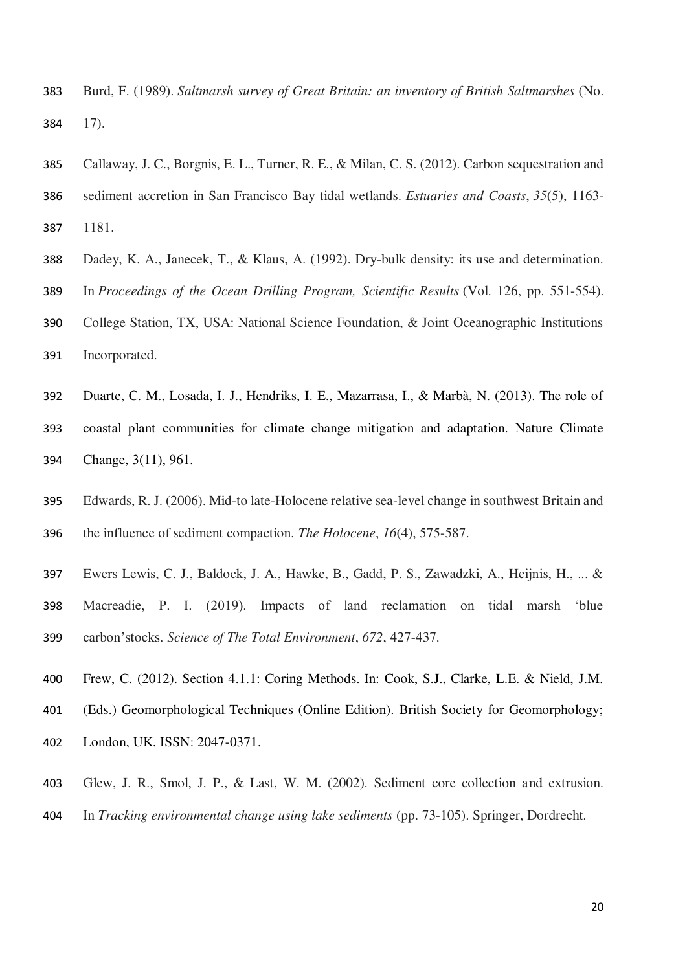- Burd, F. (1989). *Saltmarsh survey of Great Britain: an inventory of British Saltmarshes* (No. 17).
- Callaway, J. C., Borgnis, E. L., Turner, R. E., & Milan, C. S. (2012). Carbon sequestration and sediment accretion in San Francisco Bay tidal wetlands. *Estuaries and Coasts*, *35*(5), 1163- 1181.
- Dadey, K. A., Janecek, T., & Klaus, A. (1992). Dry-bulk density: its use and determination. In *Proceedings of the Ocean Drilling Program, Scientific Results* (Vol. 126, pp. 551-554).
- College Station, TX, USA: National Science Foundation, & Joint Oceanographic Institutions Incorporated.
- Duarte, C. M., Losada, I. J., Hendriks, I. E., Mazarrasa, I., & Marbà, N. (2013). The role of
- coastal plant communities for climate change mitigation and adaptation. Nature Climate Change, 3(11), 961.
- Edwards, R. J. (2006). Mid-to late-Holocene relative sea-level change in southwest Britain and the influence of sediment compaction. *The Holocene*, *16*(4), 575-587.
- Ewers Lewis, C. J., Baldock, J. A., Hawke, B., Gadd, P. S., Zawadzki, A., Heijnis, H., ... & Macreadie, P. I. (2019). Impacts of land reclamation on tidal marsh 'blue carbon'stocks. *Science of The Total Environment*, *672*, 427-437.
- Frew, C. (2012). Section 4.1.1: Coring Methods. In: Cook, S.J., Clarke, L.E. & Nield, J.M. (Eds.) Geomorphological Techniques (Online Edition). British Society for Geomorphology; London, UK. ISSN: 2047-0371.
- Glew, J. R., Smol, J. P., & Last, W. M. (2002). Sediment core collection and extrusion.
- In *Tracking environmental change using lake sediments* (pp. 73-105). Springer, Dordrecht.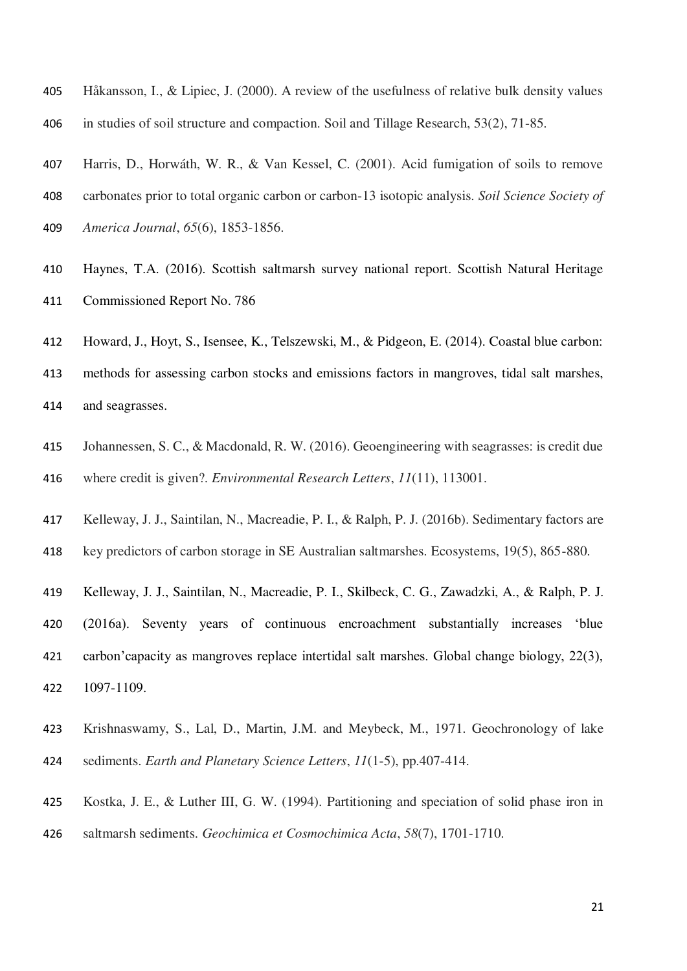- Håkansson, I., & Lipiec, J. (2000). A review of the usefulness of relative bulk density values in studies of soil structure and compaction. Soil and Tillage Research, 53(2), 71-85.
- Harris, D., Horwáth, W. R., & Van Kessel, C. (2001). Acid fumigation of soils to remove carbonates prior to total organic carbon or carbon-13 isotopic analysis. *Soil Science Society of America Journal*, *65*(6), 1853-1856.
- Haynes, T.A. (2016). Scottish saltmarsh survey national report. Scottish Natural Heritage Commissioned Report No. 786
- Howard, J., Hoyt, S., Isensee, K., Telszewski, M., & Pidgeon, E. (2014). Coastal blue carbon:
- methods for assessing carbon stocks and emissions factors in mangroves, tidal salt marshes, and seagrasses.
- Johannessen, S. C., & Macdonald, R. W. (2016). Geoengineering with seagrasses: is credit due where credit is given?. *Environmental Research Letters*, *11*(11), 113001.
- Kelleway, J. J., Saintilan, N., Macreadie, P. I., & Ralph, P. J. (2016b). Sedimentary factors are
- key predictors of carbon storage in SE Australian saltmarshes. Ecosystems, 19(5), 865-880.
- Kelleway, J. J., Saintilan, N., Macreadie, P. I., Skilbeck, C. G., Zawadzki, A., & Ralph, P. J. (2016a). Seventy years of continuous encroachment substantially increases 'blue carbon'capacity as mangroves replace intertidal salt marshes. Global change biology, 22(3), 1097-1109.
- Krishnaswamy, S., Lal, D., Martin, J.M. and Meybeck, M., 1971. Geochronology of lake sediments. *Earth and Planetary Science Letters*, *11*(1-5), pp.407-414.
- Kostka, J. E., & Luther III, G. W. (1994). Partitioning and speciation of solid phase iron in saltmarsh sediments. *Geochimica et Cosmochimica Acta*, *58*(7), 1701-1710.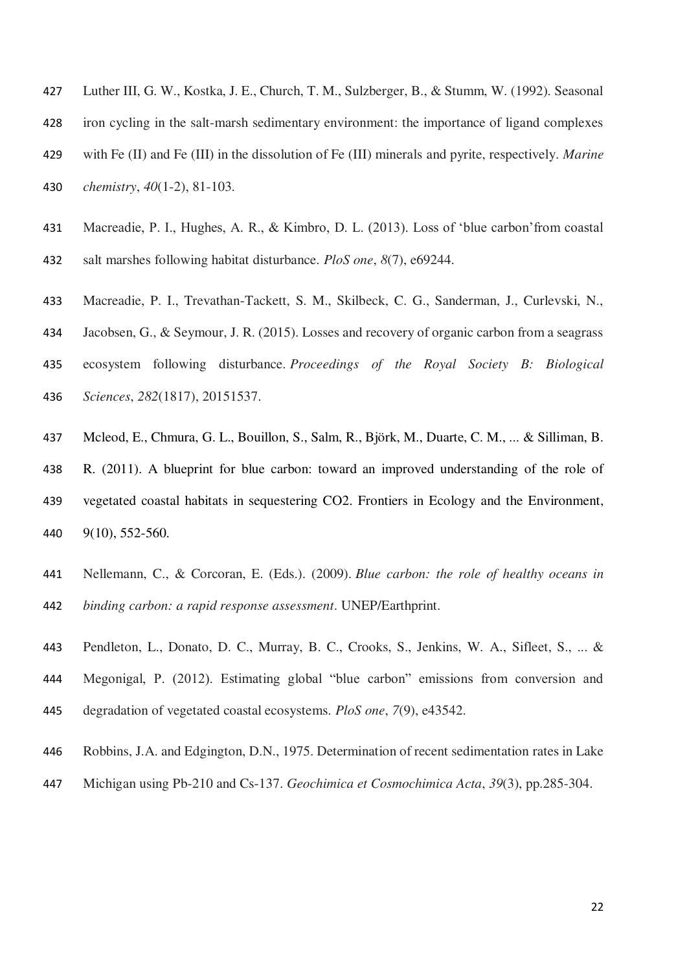- Luther III, G. W., Kostka, J. E., Church, T. M., Sulzberger, B., & Stumm, W. (1992). Seasonal
- iron cycling in the salt-marsh sedimentary environment: the importance of ligand complexes
- with Fe (II) and Fe (III) in the dissolution of Fe (III) minerals and pyrite, respectively. *Marine*
- *chemistry*, *40*(1-2), 81-103.
- Macreadie, P. I., Hughes, A. R., & Kimbro, D. L. (2013). Loss of 'blue carbon'from coastal salt marshes following habitat disturbance. *PloS one*, *8*(7), e69244.
- Macreadie, P. I., Trevathan-Tackett, S. M., Skilbeck, C. G., Sanderman, J., Curlevski, N.,
- Jacobsen, G., & Seymour, J. R. (2015). Losses and recovery of organic carbon from a seagrass ecosystem following disturbance. *Proceedings of the Royal Society B: Biological Sciences*, *282*(1817), 20151537.
- Mcleod, E., Chmura, G. L., Bouillon, S., Salm, R., Björk, M., Duarte, C. M., ... & Silliman, B.
- R. (2011). A blueprint for blue carbon: toward an improved understanding of the role of vegetated coastal habitats in sequestering CO2. Frontiers in Ecology and the Environment, 9(10), 552-560.
- Nellemann, C., & Corcoran, E. (Eds.). (2009). *Blue carbon: the role of healthy oceans in binding carbon: a rapid response assessment*. UNEP/Earthprint.
- Pendleton, L., Donato, D. C., Murray, B. C., Crooks, S., Jenkins, W. A., Sifleet, S., ... & Megonigal, P. (2012). Estimating global "blue carbon" emissions from conversion and degradation of vegetated coastal ecosystems. *PloS one*, *7*(9), e43542.
- Robbins, J.A. and Edgington, D.N., 1975. Determination of recent sedimentation rates in Lake
- Michigan using Pb-210 and Cs-137. *Geochimica et Cosmochimica Acta*, *39*(3), pp.285-304.